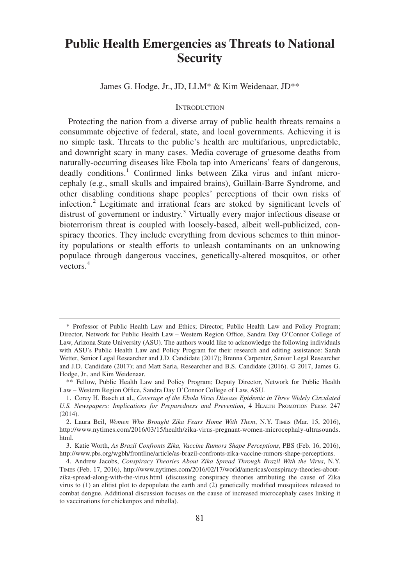# **Public Health Emergencies as Threats to National Security**

James G. Hodge, Jr., JD, LLM\* & Kim Weidenaar, JD\*\*

## **INTRODUCTION**

Protecting the nation from a diverse array of public health threats remains a consummate objective of federal, state, and local governments. Achieving it is no simple task. Threats to the public's health are multifarious, unpredictable, and downright scary in many cases. Media coverage of gruesome deaths from naturally-occurring diseases like Ebola tap into Americans' fears of dangerous, deadly conditions.<sup>1</sup> Confirmed links between Zika virus and infant microcephaly (e.g., small skulls and impaired brains), Guillain-Barre Syndrome, and other disabling conditions shape peoples' perceptions of their own risks of infection.<sup>2</sup> Legitimate and irrational fears are stoked by significant levels of distrust of government or industry.<sup>3</sup> Virtually every major infectious disease or bioterrorism threat is coupled with loosely-based, albeit well-publicized, conspiracy theories. They include everything from devious schemes to thin minority populations or stealth efforts to unleash contaminants on an unknowing populace through dangerous vaccines, genetically-altered mosquitos, or other vectors.4

<sup>\*</sup> Professor of Public Health Law and Ethics; Director, Public Health Law and Policy Program; Director, Network for Public Health Law – Western Region Office, Sandra Day O'Connor College of Law, Arizona State University (ASU)*.* The authors would like to acknowledge the following individuals with ASU's Public Health Law and Policy Program for their research and editing assistance: Sarah Wetter, Senior Legal Researcher and J.D. Candidate (2017); Brenna Carpenter, Senior Legal Researcher and J.D. Candidate (2017); and Matt Saria, Researcher and B.S. Candidate (2016). © 2017, James G. Hodge, Jr., and Kim Weidenaar.

<sup>\*\*</sup> Fellow, Public Health Law and Policy Program; Deputy Director, Network for Public Health Law – Western Region Office, Sandra Day O'Connor College of Law, ASU*.*

<sup>1.</sup> Corey H. Basch et al., *Coverage of the Ebola Virus Disease Epidemic in Three Widely Circulated U.S. Newspapers: Implications for Preparedness and Prevention*,4HEALTH PROMOTION PERSP. 247 (2014).

<sup>2.</sup> Laura Beil, *Women Who Brought Zika Fears Home With Them*, N.Y. TIMES (Mar. 15, 2016), http://www.nytimes.com/2016/03/15/health/zika-virus-pregnant-women-microcephaly-ultrasounds. html.

<sup>3.</sup> Katie Worth, *As Brazil Confronts Zika, Vaccine Rumors Shape Perceptions*, PBS (Feb. 16, 2016), http://www.pbs.org/wgbh/frontline/article/as-brazil-confronts-zika-vaccine-rumors-shape-perceptions.

<sup>4.</sup> Andrew Jacobs, *Conspiracy Theories About Zika Spread Through Brazil With the Virus*, N.Y. TIMES (Feb. 17, 2016), http://www.nytimes.com/2016/02/17/world/americas/conspiracy-theories-aboutzika-spread-along-with-the-virus.html (discussing conspiracy theories attributing the cause of Zika virus to (1) an elitist plot to depopulate the earth and (2) genetically modified mosquitoes released to combat dengue. Additional discussion focuses on the cause of increased microcephaly cases linking it to vaccinations for chickenpox and rubella).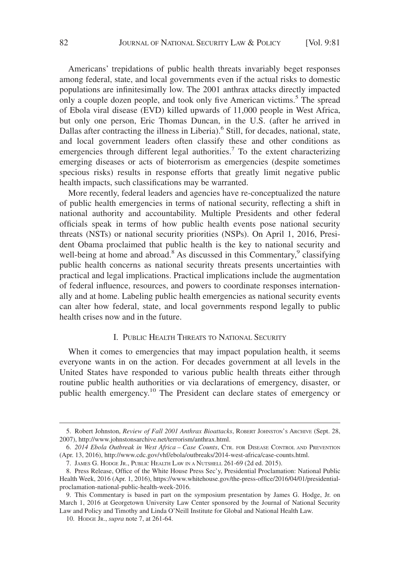Americans' trepidations of public health threats invariably beget responses among federal, state, and local governments even if the actual risks to domestic populations are infinitesimally low. The 2001 anthrax attacks directly impacted only a couple dozen people, and took only five American victims.<sup>5</sup> The spread of Ebola viral disease (EVD) killed upwards of 11,000 people in West Africa, but only one person, Eric Thomas Duncan, in the U.S. (after he arrived in Dallas after contracting the illness in Liberia).<sup>6</sup> Still, for decades, national, state, and local government leaders often classify these and other conditions as emergencies through different legal authorities.<sup>7</sup> To the extent characterizing emerging diseases or acts of bioterrorism as emergencies (despite sometimes specious risks) results in response efforts that greatly limit negative public health impacts, such classifications may be warranted.

More recently, federal leaders and agencies have re-conceptualized the nature of public health emergencies in terms of national security, reflecting a shift in national authority and accountability. Multiple Presidents and other federal officials speak in terms of how public health events pose national security threats (NSTs) or national security priorities (NSPs). On April 1, 2016, President Obama proclaimed that public health is the key to national security and well-being at home and abroad.<sup>8</sup> As discussed in this Commentary,<sup>9</sup> classifying public health concerns as national security threats presents uncertainties with practical and legal implications. Practical implications include the augmentation of federal influence, resources, and powers to coordinate responses internationally and at home. Labeling public health emergencies as national security events can alter how federal, state, and local governments respond legally to public health crises now and in the future.

# I. PUBLIC HEALTH THREATS TO NATIONAL SECURITY

When it comes to emergencies that may impact population health, it seems everyone wants in on the action. For decades government at all levels in the United States have responded to various public health threats either through routine public health authorities or via declarations of emergency, disaster, or public health emergency.<sup>10</sup> The President can declare states of emergency or

<sup>5.</sup> Robert Johnston, *Review of Fall 2001 Anthrax Bioattacks*, ROBERT JOHNSTON'S ARCHIVE (Sept. 28, 2007), http://www.johnstonsarchive.net/terrorism/anthrax.html.

<sup>6.</sup> *2014 Ebola Outbreak in West Africa – Case Counts*, CTR. FOR DISEASE CONTROL AND PREVENTION (Apr. 13, 2016), http://www.cdc.gov/vhf/ebola/outbreaks/2014-west-africa/case-counts.html.

<sup>7.</sup> JAMES G. HODGE JR., PUBLIC HEALTH LAW IN A NUTSHELL 261-69 (2d ed. 2015).

<sup>8.</sup> Press Release, Office of the White House Press Sec'y, Presidential Proclamation: National Public Health Week, 2016 (Apr. 1, 2016), https://www.whitehouse.gov/the-press-office/2016/04/01/presidentialproclamation-national-public-health-week-2016.

<sup>9.</sup> This Commentary is based in part on the symposium presentation by James G. Hodge, Jr. on March 1, 2016 at Georgetown University Law Center sponsored by the Journal of National Security Law and Policy and Timothy and Linda O'Neill Institute for Global and National Health Law.

<sup>10.</sup> HODGE JR., *supra* note 7, at 261-64.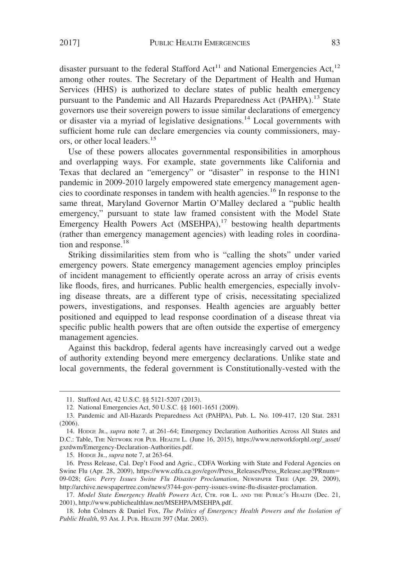disaster pursuant to the federal Stafford Act<sup>11</sup> and National Emergencies Act,<sup>12</sup> among other routes. The Secretary of the Department of Health and Human Services (HHS) is authorized to declare states of public health emergency pursuant to the Pandemic and All Hazards Preparedness Act (PAHPA).<sup>13</sup> State governors use their sovereign powers to issue similar declarations of emergency or disaster via a myriad of legislative designations.<sup>14</sup> Local governments with sufficient home rule can declare emergencies via county commissioners, mayors, or other local leaders.<sup>15</sup>

Use of these powers allocates governmental responsibilities in amorphous and overlapping ways. For example, state governments like California and Texas that declared an "emergency" or "disaster" in response to the H1N1 pandemic in 2009-2010 largely empowered state emergency management agencies to coordinate responses in tandem with health agencies.16 In response to the same threat, Maryland Governor Martin O'Malley declared a "public health emergency," pursuant to state law framed consistent with the Model State Emergency Health Powers Act  $(MSEHPA)$ ,<sup>17</sup> bestowing health departments (rather than emergency management agencies) with leading roles in coordination and response.<sup>18</sup>

Striking dissimilarities stem from who is "calling the shots" under varied emergency powers. State emergency management agencies employ principles of incident management to efficiently operate across an array of crisis events like floods, fires, and hurricanes. Public health emergencies, especially involving disease threats, are a different type of crisis, necessitating specialized powers, investigations, and responses. Health agencies are arguably better positioned and equipped to lead response coordination of a disease threat via specific public health powers that are often outside the expertise of emergency management agencies.

Against this backdrop, federal agents have increasingly carved out a wedge of authority extending beyond mere emergency declarations. Unlike state and local governments, the federal government is Constitutionally-vested with the

15. HODGE JR., *supra* note 7, at 263-64.

<sup>11.</sup> Stafford Act, 42 U.S.C. §§ 5121-5207 (2013).

<sup>12.</sup> National Emergencies Act, 50 U.S.C. §§ 1601-1651 (2009).

<sup>13.</sup> Pandemic and All-Hazards Preparedness Act (PAHPA), Pub. L. No. 109-417, 120 Stat. 2831 (2006).

<sup>14.</sup> HODGE JR., *supra* note 7, at 261–64; Emergency Declaration Authorities Across All States and D.C.: Table, THE NETWORK FOR PUB. HEALTH L. (June 16, 2015), https://www.networkforphl.org/\_asset/ gxrdwm/Emergency-Declaration-Authorities.pdf.

<sup>16.</sup> Press Release, Cal. Dep't Food and Agric., CDFA Working with State and Federal Agencies on Swine Flu (Apr. 28, 2009), https://www.cdfa.ca.gov/egov/Press\_Releases/Press\_Release.asp?PRnum- 09-028; *Gov. Perry Issues Swine Flu Disaster Proclamation*, NEWSPAPER TREE (Apr. 29, 2009), http://archive.newspapertree.com/news/3744-gov-perry-issues-swine-flu-disaster-proclamation.

<sup>17.</sup> *Model State Emergency Health Powers Act*, CTR. FOR L. AND THE PUBLIC'S HEALTH (Dec. 21, 2001), http://www.publichealthlaw.net/MSEHPA/MSEHPA.pdf.

<sup>18.</sup> John Colmers & Daniel Fox, *The Politics of Emergency Health Powers and the Isolation of Public Health*, 93 AM. J. PUB. HEALTH 397 (Mar. 2003).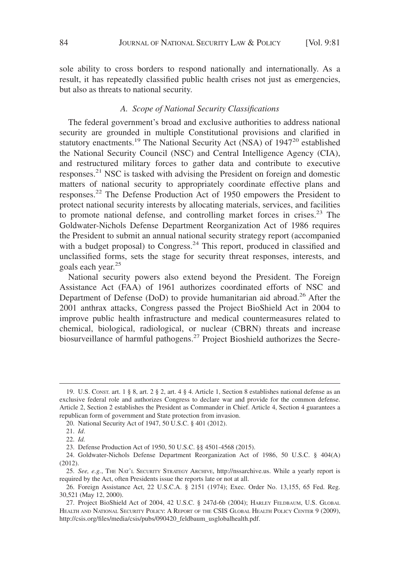sole ability to cross borders to respond nationally and internationally. As a result, it has repeatedly classified public health crises not just as emergencies, but also as threats to national security.

# *A. Scope of National Security Classifications*

The federal government's broad and exclusive authorities to address national security are grounded in multiple Constitutional provisions and clarified in statutory enactments.<sup>19</sup> The National Security Act (NSA) of  $1947^{20}$  established the National Security Council (NSC) and Central Intelligence Agency (CIA), and restructured military forces to gather data and contribute to executive responses.21 NSC is tasked with advising the President on foreign and domestic matters of national security to appropriately coordinate effective plans and responses.<sup>22</sup> The Defense Production Act of 1950 empowers the President to protect national security interests by allocating materials, services, and facilities to promote national defense, and controlling market forces in crises.<sup>23</sup> The Goldwater-Nichols Defense Department Reorganization Act of 1986 requires the President to submit an annual national security strategy report (accompanied with a budget proposal) to Congress.<sup>24</sup> This report, produced in classified and unclassified forms, sets the stage for security threat responses, interests, and goals each year.<sup>25</sup>

National security powers also extend beyond the President. The Foreign Assistance Act (FAA) of 1961 authorizes coordinated efforts of NSC and Department of Defense (DoD) to provide humanitarian aid abroad.<sup>26</sup> After the 2001 anthrax attacks, Congress passed the Project BioShield Act in 2004 to improve public health infrastructure and medical countermeasures related to chemical, biological, radiological, or nuclear (CBRN) threats and increase biosurveillance of harmful pathogens.<sup>27</sup> Project Bioshield authorizes the Secre-

<sup>19.</sup> U.S. CONST. art. 1 § 8, art. 2 § 2, art. 4 § 4. Article 1, Section 8 establishes national defense as an exclusive federal role and authorizes Congress to declare war and provide for the common defense. Article 2, Section 2 establishes the President as Commander in Chief. Article 4, Section 4 guarantees a republican form of government and State protection from invasion.

<sup>20.</sup> National Security Act of 1947, 50 U.S.C. § 401 (2012).

<sup>21.</sup> *Id*.

<sup>22.</sup> *Id.*

<sup>23.</sup> Defense Production Act of 1950, 50 U.S.C. §§ 4501-4568 (2015).

<sup>24.</sup> Goldwater-Nichols Defense Department Reorganization Act of 1986, 50 U.S.C. § 404(A) (2012).

<sup>25.</sup> *See, e.g.*, THE NAT'L SECURITY STRATEGY ARCHIVE, http://nssarchive.us. While a yearly report is required by the Act, often Presidents issue the reports late or not at all.

<sup>26.</sup> Foreign Assistance Act, 22 U.S.C.A. § 2151 (1974); Exec. Order No. 13,155, 65 Fed. Reg. 30,521 (May 12, 2000).

<sup>27.</sup> Project BioShield Act of 2004, 42 U.S.C. § 247d-6b (2004); HARLEY FELDBAUM, U.S. GLOBAL HEALTH AND NATIONAL SECURITY POLICY:AREPORT OF THE CSIS GLOBAL HEALTH POLICY CENTER 9 (2009), http://csis.org/files/media/csis/pubs/090420\_feldbaum\_usglobalhealth.pdf.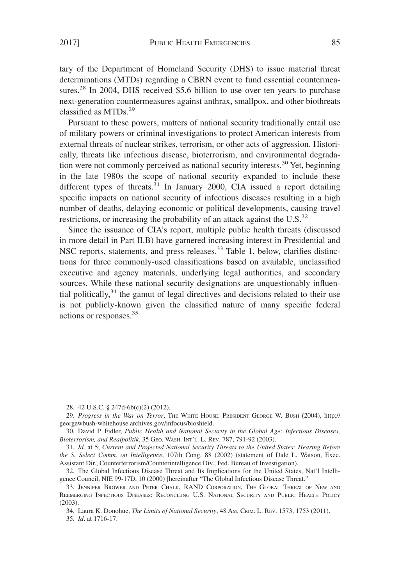tary of the Department of Homeland Security (DHS) to issue material threat determinations (MTDs) regarding a CBRN event to fund essential countermeasures.<sup>28</sup> In 2004, DHS received \$5.6 billion to use over ten years to purchase next-generation countermeasures against anthrax, smallpox, and other biothreats classified as MTDs.29

Pursuant to these powers, matters of national security traditionally entail use of military powers or criminal investigations to protect American interests from external threats of nuclear strikes, terrorism, or other acts of aggression. Historically, threats like infectious disease, bioterrorism, and environmental degradation were not commonly perceived as national security interests.<sup>30</sup> Yet, beginning in the late 1980s the scope of national security expanded to include these different types of threats.<sup>31</sup> In January 2000, CIA issued a report detailing specific impacts on national security of infectious diseases resulting in a high number of deaths, delaying economic or political developments, causing travel restrictions, or increasing the probability of an attack against the U.S. $^{32}$ 

Since the issuance of CIA's report, multiple public health threats (discussed in more detail in Part II.B) have garnered increasing interest in Presidential and NSC reports, statements, and press releases.<sup>33</sup> Table 1, below, clarifies distinctions for three commonly-used classifications based on available, unclassified executive and agency materials, underlying legal authorities, and secondary sources. While these national security designations are unquestionably influential politically, $34$  the gamut of legal directives and decisions related to their use is not publicly-known given the classified nature of many specific federal actions or responses.35

<sup>28. 42</sup> U.S.C. § 247d-6b(c)(2) (2012).

<sup>29.</sup> *Progress in the War on Terror*, THE WHITE HOUSE: PRESIDENT GEORGE W. BUSH (2004), http:// georgewbush-whitehouse.archives.gov/infocus/bioshield.

<sup>30.</sup> David P. Fidler, *Public Health and National Security in the Global Age: Infectious Diseases, Bioterrorism, and Realpolitik*, 35 GEO. WASH. INT'L. L. REV. 787, 791-92 (2003).

<sup>31.</sup> *Id.* at 5; *Current and Projected National Security Threats to the United States: Hearing Before the S. Select Comm. on Intelligence*, 107th Cong. 88 (2002) (statement of Dale L. Watson, Exec. Assistant Dir., Counterterrorism/Counterintelligence Div., Fed. Bureau of Investigation).

<sup>32.</sup> The Global Infectious Disease Threat and Its Implications for the United States, Nat'l Intelligence Council, NIE 99-17D, 10 (2000) [hereinafter "The Global Infectious Disease Threat."

<sup>33.</sup> JENNIFER BROWER AND PETER CHALK, RAND CORPORATION, THE GLOBAL THREAT OF NEW AND REEMERGING INFECTIOUS DISEASES: RECONCILING U.S. NATIONAL SECURITY AND PUBLIC HEALTH POLICY (2003).

<sup>34.</sup> Laura K. Donohue, *The Limits of National Security*, 48 AM. CRIM. L. REV. 1573, 1753 (2011). 35. *Id*. at 1716-17.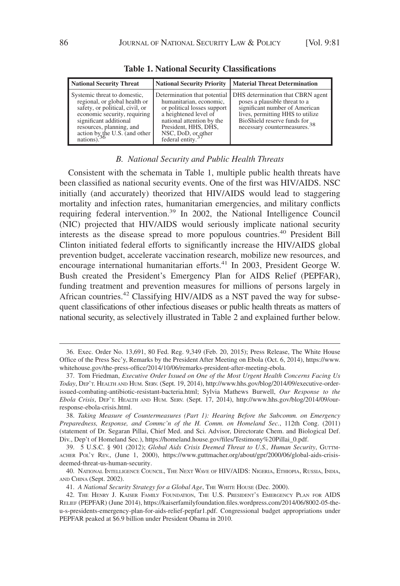| <b>National Security Threat</b>                                                                                                                                                                                                                  |                                                                                                                                                                                                                             | <b>National Security Priority   Material Threat Determination</b>                                                                                                                                                   |
|--------------------------------------------------------------------------------------------------------------------------------------------------------------------------------------------------------------------------------------------------|-----------------------------------------------------------------------------------------------------------------------------------------------------------------------------------------------------------------------------|---------------------------------------------------------------------------------------------------------------------------------------------------------------------------------------------------------------------|
| Systemic threat to domestic,<br>regional, or global health or<br>safety, or political, civil, or<br>economic security, requiring<br>significant additional<br>resources, planning, and<br>$\frac{1}{36}$ action by the U.S. (and other nations). | Determination that potential<br>humanitarian, economic,<br>or political losses support<br>a heightened level of<br>national attention by the<br>President, HHS, DHS,<br>NSC, DoD, or other<br>federal entity. <sup>37</sup> | DHS determination that CBRN agent<br>poses a plausible threat to a<br>significant number of American<br>lives, permitting HHS to utilize<br>BioShield reserve funds for<br>necessary countermeasures. <sup>38</sup> |

**Table 1. National Security Classifications**

# *B. National Security and Public Health Threats*

Consistent with the schemata in Table 1, multiple public health threats have been classified as national security events. One of the first was HIV/AIDS. NSC initially (and accurately) theorized that HIV/AIDS would lead to staggering mortality and infection rates, humanitarian emergencies, and military conflicts requiring federal intervention.<sup>39</sup> In 2002, the National Intelligence Council (NIC) projected that HIV/AIDS would seriously implicate national security interests as the disease spread to more populous countries.<sup>40</sup> President Bill Clinton initiated federal efforts to significantly increase the HIV/AIDS global prevention budget, accelerate vaccination research, mobilize new resources, and encourage international humanitarian efforts.<sup>41</sup> In 2003, President George W. Bush created the President's Emergency Plan for AIDS Relief (PEPFAR), funding treatment and prevention measures for millions of persons largely in African countries.<sup>42</sup> Classifying HIV/AIDS as a NST paved the way for subsequent classifications of other infectious diseases or public health threats as matters of national security, as selectively illustrated in Table 2 and explained further below.

<sup>36.</sup> Exec. Order No. 13,691, 80 Fed. Reg. 9,349 (Feb. 20, 2015); Press Release, The White House Office of the Press Sec'y, Remarks by the President After Meeting on Ebola (Oct. 6, 2014), https://www. whitehouse.gov/the-press-office/2014/10/06/remarks-president-after-meeting-ebola.

<sup>37.</sup> Tom Friedman, *Executive Order Issued on One of the Most Urgent Health Concerns Facing Us Today*, DEP'T. HEALTH AND HUM. SERV. (Sept. 19, 2014), http://www.hhs.gov/blog/2014/09/executive-orderissued-combating-antibiotic-resistant-bacteria.html; Sylvia Mathews Burwell, *Our Response to the Ebola Crisis*, DEP'T. HEALTH AND HUM. SERV. (Sept. 17, 2014), http://www.hhs.gov/blog/2014/09/ourresponse-ebola-crisis.html.

<sup>38.</sup> *Taking Measure of Countermeasures (Part 1): Hearing Before the Subcomm. on Emergency Preparedness, Response, and Commc'n of the H. Comm. on Homeland Sec.*, 112th Cong. (2011) (statement of Dr. Segaran Pillai, Chief Med. and Sci. Advisor, Directorate Chem. and Biological Def. Div., Dep't of Homeland Sec.), https://homeland.house.gov/files/Testimony%20Pillai\_0.pdf.

<sup>39. 5</sup> U.S.C. § 901 (2012); *Global Aids Crisis Deemed Threat to U.S., Human Security*, GUTTM-ACHER POL'Y REV., (June 1, 2000), https://www.guttmacher.org/about/gpr/2000/06/global-aids-crisisdeemed-threat-us-human-security.

<sup>40.</sup> NATIONAL INTELLIGENCE COUNCIL, THE NEXT WAVE OF HIV/AIDS: NIGERIA, ETHIOPIA, RUSSIA, INDIA, AND CHINA (Sept. 2002).

<sup>41.</sup> *A National Security Strategy for a Global Age*, THE WHITE HOUSE (Dec. 2000).

<sup>42.</sup> THE HENRY J. KAISER FAMILY FOUNDATION, THE U.S. PRESIDENT'S EMERGENCY PLAN FOR AIDS RELIEF (PEPFAR) (June 2014), https://kaiserfamilyfoundation.files.wordpress.com/2014/06/8002-05-theu-s-presidents-emergency-plan-for-aids-relief-pepfar1.pdf. Congressional budget appropriations under PEPFAR peaked at \$6.9 billion under President Obama in 2010.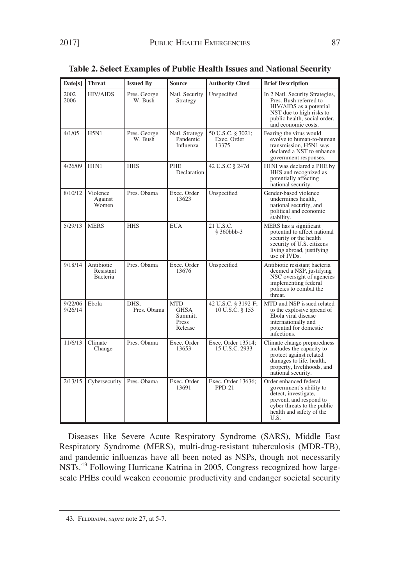| Date[s]            | <b>Threat</b>                              | <b>Issued By</b>        | <b>Source</b>                                            | <b>Authority Cited</b>                    | <b>Brief Description</b>                                                                                                                                                |
|--------------------|--------------------------------------------|-------------------------|----------------------------------------------------------|-------------------------------------------|-------------------------------------------------------------------------------------------------------------------------------------------------------------------------|
| 2002<br>2006       | <b>HIV/AIDS</b>                            | Pres. George<br>W. Bush | Natl. Security<br>Strategy                               | Unspecified                               | In 2 Natl. Security Strategies,<br>Pres. Bush referred to<br>HIV/AIDS as a potential<br>NST due to high risks to<br>public health, social order,<br>and economic costs. |
| 4/1/05             | <b>H5N1</b>                                | Pres. George<br>W. Bush | Natl. Strategy<br>Pandemic<br>Influenza                  | 50 U.S.C. § 3021;<br>Exec. Order<br>13375 | Fearing the virus would<br>evolve to human-to-human<br>transmission, H5N1 was<br>declared a NST to enhance<br>government responses.                                     |
| 4/26/09            | H1N1                                       | <b>HHS</b>              | <b>PHE</b><br>Declaration                                | 42 U.S.C § 247d                           | H1NI was declared a PHE by<br>HHS and recognized as<br>potentially affecting<br>national security.                                                                      |
| 8/10/12            | Violence<br>Against<br>Women               | Pres. Obama             | Exec. Order<br>13623                                     | Unspecified                               | Gender-based violence<br>undermines health,<br>national security, and<br>political and economic<br>stability.                                                           |
| 5/29/13            | <b>MERS</b>                                | <b>HHS</b>              | <b>EUA</b>                                               | 21 U.S.C.<br>§ 360bbb-3                   | MERS has a significant<br>potential to affect national<br>security or the health<br>security of U.S. citizens<br>living abroad, justifying<br>use of IVDs.              |
| 9/18/14            | Antibiotic<br>Resistant<br><b>Bacteria</b> | Pres. Obama             | Exec. Order<br>13676                                     | Unspecified                               | Antibiotic resistant bacteria<br>deemed a NSP, justifying<br>NSC oversight of agencies<br>implementing federal<br>policies to combat the<br>threat.                     |
| 9/22/06<br>9/26/14 | Ebola                                      | DHS:<br>Pres. Obama     | <b>MTD</b><br><b>GHSA</b><br>Summit:<br>Press<br>Release | 42 U.S.C. § 3192-F;<br>10 U.S.C. § 153    | MTD and NSP issued related<br>to the explosive spread of<br>Ebola viral disease<br>internationally and<br>potential for domestic<br>infections.                         |
| 11/6/13            | Climate<br>Change                          | Pres. Obama             | Exec. Order<br>13653                                     | Exec, Order 13514;<br>15 U.S.C. 2933      | Climate change preparedness<br>includes the capacity to<br>protect against related<br>damages to life, health,<br>property, livelihoods, and<br>national security.      |
| 2/13/15            | Cybersecurity                              | Pres. Obama             | Exec. Order<br>13691                                     | Exec. Order 13636;<br>$PPD-21$            | Order enhanced federal<br>government's ability to<br>detect, investigate,<br>prevent, and respond to<br>cyber threats to the public<br>health and safety of the<br>U.S. |

**Table 2. Select Examples of Public Health Issues and National Security**

Diseases like Severe Acute Respiratory Syndrome (SARS), Middle East Respiratory Syndrome (MERS), multi-drug-resistant tuberculosis (MDR-TB), and pandemic influenzas have all been noted as NSPs, though not necessarily NSTs.<sup>43</sup> Following Hurricane Katrina in 2005, Congress recognized how largescale PHEs could weaken economic productivity and endanger societal security

<sup>43.</sup> FELDBAUM, *supra* note 27, at 5-7.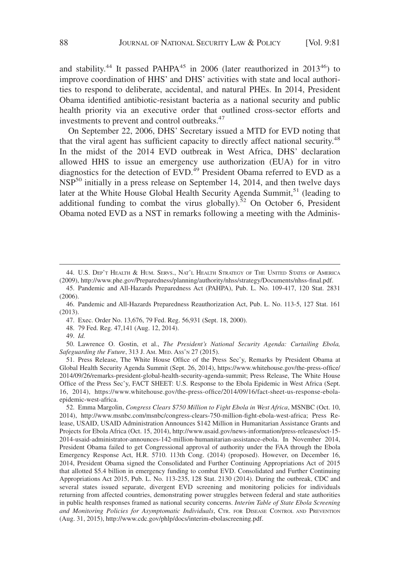and stability.<sup>44</sup> It passed PAHPA<sup>45</sup> in 2006 (later reauthorized in 2013<sup>46</sup>) to improve coordination of HHS' and DHS' activities with state and local authorities to respond to deliberate, accidental, and natural PHEs. In 2014, President Obama identified antibiotic-resistant bacteria as a national security and public health priority via an executive order that outlined cross-sector efforts and investments to prevent and control outbreaks.<sup>47</sup>

On September 22, 2006, DHS' Secretary issued a MTD for EVD noting that that the viral agent has sufficient capacity to directly affect national security.<sup>48</sup> In the midst of the 2014 EVD outbreak in West Africa, DHS' declaration allowed HHS to issue an emergency use authorization (EUA) for in vitro diagnostics for the detection of EVD.<sup>49</sup> President Obama referred to EVD as a NSP<sup>50</sup> initially in a press release on September 14, 2014, and then twelve days later at the White House Global Health Security Agenda Summit,<sup>51</sup> (leading to additional funding to combat the virus globally).<sup>52</sup> On October 6, President Obama noted EVD as a NST in remarks following a meeting with the Adminis-

48. 79 Fed. Reg. 47,141 (Aug. 12, 2014).

49. *Id.*

51. Press Release, The White House Office of the Press Sec'y, Remarks by President Obama at Global Health Security Agenda Summit (Sept. 26, 2014), https://www.whitehouse.gov/the-press-office/ 2014/09/26/remarks-president-global-health-security-agenda-summit; Press Release, The White House Office of the Press Sec'y, FACT SHEET: U.S. Response to the Ebola Epidemic in West Africa (Sept. 16, 2014), https://www.whitehouse.gov/the-press-office/2014/09/16/fact-sheet-us-response-ebolaepidemic-west-africa.

52. Emma Margolin, *Congress Clears \$750 Million to Fight Ebola in West Africa*, MSNBC (Oct. 10, 2014), http://www.msnbc.com/msnbc/congress-clears-750-million-fight-ebola-west-africa; Press Release, USAID, USAID Administration Announces \$142 Million in Humanitarian Assistance Grants and Projects for Ebola Africa (Oct. 15, 2014), http://www.usaid.gov/news-information/press-releases/oct-15- 2014-usaid-administrator-announces-142-million-humanitarian-assistance-ebola. In November 2014, President Obama failed to get Congressional approval of authority under the FAA through the Ebola Emergency Response Act, H.R. 5710. 113th Cong. (2014) (proposed). However, on December 16, 2014, President Obama signed the Consolidated and Further Continuing Appropriations Act of 2015 that allotted \$5.4 billion in emergency funding to combat EVD. Consolidated and Further Continuing Appropriations Act 2015, Pub. L. No. 113-235, 128 Stat. 2130 (2014). During the outbreak, CDC and several states issued separate, divergent EVD screening and monitoring policies for individuals returning from affected countries, demonstrating power struggles between federal and state authorities in public health responses framed as national security concerns. *Interim Table of State Ebola Screening and Monitoring Policies for Asymptomatic Individuals*, CTR. FOR DISEASE CONTROL AND PREVENTION (Aug. 31, 2015), http://www.cdc.gov/phlp/docs/interim-ebolascreening.pdf.

<sup>44.</sup> U.S. DEP'T HEALTH & HUM. SERVS., NAT'L HEALTH STRATEGY OF THE UNITED STATES OF AMERICA (2009), http://www.phe.gov/Preparedness/planning/authority/nhss/strategy/Documents/nhss-final.pdf.

<sup>45.</sup> Pandemic and All-Hazards Preparedness Act (PAHPA), Pub. L. No. 109-417, 120 Stat. 2831 (2006).

<sup>46.</sup> Pandemic and All-Hazards Preparedness Reauthorization Act, Pub. L. No. 113-5, 127 Stat. 161 (2013).

<sup>47.</sup> Exec. Order No. 13,676, 79 Fed. Reg. 56,931 (Sept. 18, 2000).

<sup>50.</sup> Lawrence O. Gostin, et al., *The President's National Security Agenda: Curtailing Ebola, Safeguarding the Future*, 313 J. AM. MED. ASS'N 27 (2015).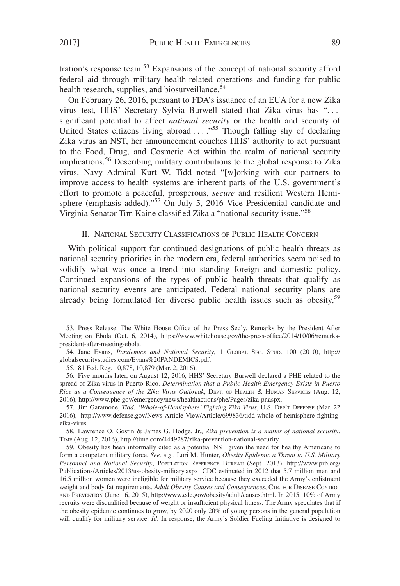tration's response team.<sup>53</sup> Expansions of the concept of national security afford federal aid through military health-related operations and funding for public health research, supplies, and biosurveillance.<sup>54</sup>

On February 26, 2016, pursuant to FDA's issuance of an EUA for a new Zika virus test, HHS' Secretary Sylvia Burwell stated that Zika virus has ". . . significant potential to affect *national security* or the health and security of United States citizens living abroad . . . . "<sup>55</sup> Though falling shy of declaring Zika virus an NST, her announcement couches HHS' authority to act pursuant to the Food, Drug, and Cosmetic Act within the realm of national security implications.56 Describing military contributions to the global response to Zika virus, Navy Admiral Kurt W. Tidd noted "[w]orking with our partners to improve access to health systems are inherent parts of the U.S. government's effort to promote a peaceful, prosperous, *secure* and resilient Western Hemisphere (emphasis added)."<sup>57</sup> On July 5, 2016 Vice Presidential candidate and Virginia Senator Tim Kaine classified Zika a "national security issue."<sup>58</sup>

# II. NATIONAL SECURITY CLASSIFICATIONS OF PUBLIC HEALTH CONCERN

With political support for continued designations of public health threats as national security priorities in the modern era, federal authorities seem poised to solidify what was once a trend into standing foreign and domestic policy. Continued expansions of the types of public health threats that qualify as national security events are anticipated. Federal national security plans are already being formulated for diverse public health issues such as obesity,<sup>59</sup>

58. Lawrence O. Gostin & James G. Hodge, Jr., *Zika prevention is a matter of national security*, TIME (Aug. 12, 2016), http://time.com/4449287/zika-prevention-national-security.

<sup>53.</sup> Press Release, The White House Office of the Press Sec'y, Remarks by the President After Meeting on Ebola (Oct. 6, 2014), https://www.whitehouse.gov/the-press-office/2014/10/06/remarkspresident-after-meeting-ebola.

<sup>54.</sup> Jane Evans, *Pandemics and National Security*,1GLOBAL SEC. STUD. 100 (2010), http:// globalsecuritystudies.com/Evans%20PANDEMICS.pdf.

<sup>55. 81</sup> Fed. Reg. 10,878, 10,879 (Mar. 2, 2016).

<sup>56.</sup> Five months later, on August 12, 2016, HHS' Secretary Burwell declared a PHE related to the spread of Zika virus in Puerto Rico. *Determination that a Public Health Emergency Exists in Puerto Rice as a Consequence of the Zika Virus Outbreak*, DEPT. OF HEALTH & HUMAN SERVICES (Aug. 12, 2016), http://www.phe.gov/emergency/news/healthactions/phe/Pages/zika-pr.aspx.

<sup>57.</sup> Jim Garamone, *Tidd: 'Whole-of-Hemisphere' Fighting Zika Virus*, U.S. DEP'T DEFENSE (Mar. 22 2016), http://www.defense.gov/News-Article-View/Article/699836/tidd-whole-of-hemisphere-fightingzika-virus.

<sup>59.</sup> Obesity has been informally cited as a potential NST given the need for healthy Americans to form a competent military force. *See, e.g.*, Lori M. Hunter, *Obesity Epidemic a Threat to U.S. Military Personnel and National Security*, POPULATION REFERENCE BUREAU (Sept. 2013), http://www.prb.org/ Publications/Articles/2013/us-obesity-military.aspx. CDC estimated in 2012 that 5.7 million men and 16.5 million women were ineligible for military service because they exceeded the Army's enlistment weight and body fat requirements. *Adult Obesity Causes and Consequences*, CTR. FOR DISEASE CONTROL AND PREVENTION (June 16, 2015), http://www.cdc.gov/obesity/adult/causes.html. In 2015, 10% of Army recruits were disqualified because of weight or insufficient physical fitness. The Army speculates that if the obesity epidemic continues to grow, by 2020 only 20% of young persons in the general population will qualify for military service. *Id*. In response, the Army's Soldier Fueling Initiative is designed to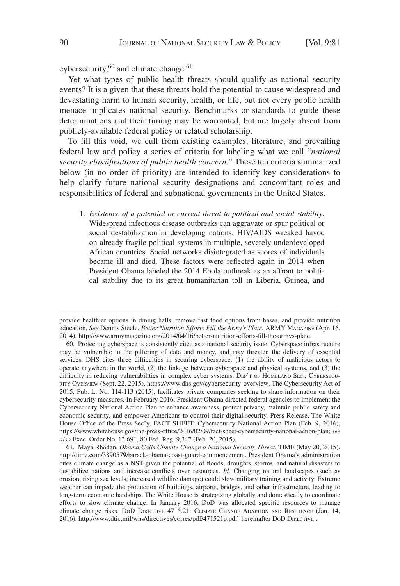cybersecurity, $60$  and climate change. $61$ 

Yet what types of public health threats should qualify as national security events? It is a given that these threats hold the potential to cause widespread and devastating harm to human security, health, or life, but not every public health menace implicates national security. Benchmarks or standards to guide these determinations and their timing may be warranted, but are largely absent from publicly-available federal policy or related scholarship.

To fill this void, we cull from existing examples, literature, and prevailing federal law and policy a series of criteria for labeling what we call "*national security classifications of public health concern*." These ten criteria summarized below (in no order of priority) are intended to identify key considerations to help clarify future national security designations and concomitant roles and responsibilities of federal and subnational governments in the United States.

1. *Existence of a potential or current threat to political and social stability*. Widespread infectious disease outbreaks can aggravate or spur political or social destabilization in developing nations. HIV/AIDS wreaked havoc on already fragile political systems in multiple, severely underdeveloped African countries. Social networks disintegrated as scores of individuals became ill and died. These factors were reflected again in 2014 when President Obama labeled the 2014 Ebola outbreak as an affront to political stability due to its great humanitarian toll in Liberia, Guinea, and

provide healthier options in dining halls, remove fast food options from bases, and provide nutrition education. *See* Dennis Steele, *Better Nutrition Efforts Fill the Army's Plate*, ARMY MAGAZINE (Apr. 16, 2014), http://www.armymagazine.org/2014/04/16/better-nutrition-efforts-fill-the-armys-plate.

<sup>60.</sup> Protecting cyberspace is consistently cited as a national security issue. Cyberspace infrastructure may be vulnerable to the pilfering of data and money, and may threaten the delivery of essential services. DHS cites three difficulties in securing cyberspace: (1) the ability of malicious actors to operate anywhere in the world, (2) the linkage between cyberspace and physical systems, and (3) the difficulty in reducing vulnerabilities in complex cyber systems. DEP'T OF HOMELAND SEC., CYBERSECU-RITY OVERVIEW (Sept. 22, 2015), https://www.dhs.gov/cybersecurity-overview. The Cybersecurity Act of 2015, Pub. L. No. 114-113 (2015), facilitates private companies seeking to share information on their cybersecurity measures. In February 2016, President Obama directed federal agencies to implement the Cybersecurity National Action Plan to enhance awareness, protect privacy, maintain public safety and economic security, and empower Americans to control their digital security. Press Release, The White House Office of the Press Sec'y, FACT SHEET: Cybersecurity National Action Plan (Feb. 9, 2016), https://www.whitehouse.gov/the-press-office/2016/02/09/fact-sheet-cybersecurity-national-action-plan; *see also* Exec. Order No. 13,691, 80 Fed. Reg. 9,347 (Feb. 20, 2015).

<sup>61.</sup> Maya Rhodan, *Obama Calls Climate Change a National Security Threat*, TIME (May 20, 2015), http://time.com/3890579/barack-obama-coast-guard-commencement. President Obama's administration cites climate change as a NST given the potential of floods, droughts, storms, and natural disasters to destabilize nations and increase conflicts over resources. *Id.* Changing natural landscapes (such as erosion, rising sea levels, increased wildfire damage) could slow military training and activity. Extreme weather can impede the production of buildings, airports, bridges, and other infrastructure, leading to long-term economic hardships. The White House is strategizing globally and domestically to coordinate efforts to slow climate change. In January 2016, DoD was allocated specific resources to manage climate change risks. DOD DIRECTIVE 4715.21: CLIMATE CHANGE ADAPTION AND RESILIENCE (Jan. 14, 2016), http://www.dtic.mil/whs/directives/corres/pdf/471521p.pdf [hereinafter DOD DIRECTIVE].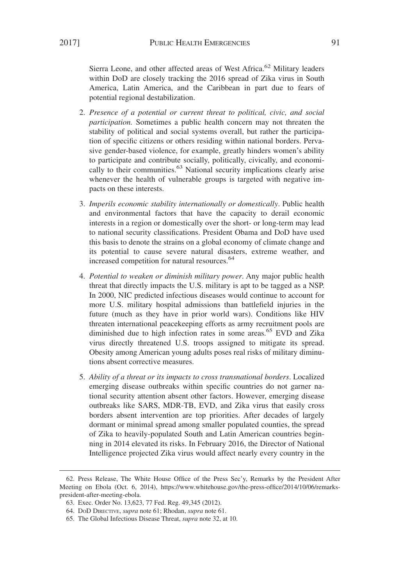Sierra Leone, and other affected areas of West Africa.<sup>62</sup> Military leaders within DoD are closely tracking the 2016 spread of Zika virus in South America, Latin America, and the Caribbean in part due to fears of potential regional destabilization.

- 2. *Presence of a potential or current threat to political, civic, and social participation.* Sometimes a public health concern may not threaten the stability of political and social systems overall, but rather the participation of specific citizens or others residing within national borders. Pervasive gender-based violence, for example, greatly hinders women's ability to participate and contribute socially, politically, civically, and economically to their communities.<sup>63</sup> National security implications clearly arise whenever the health of vulnerable groups is targeted with negative impacts on these interests.
- 3. *Imperils economic stability internationally or domestically*. Public health and environmental factors that have the capacity to derail economic interests in a region or domestically over the short- or long-term may lead to national security classifications. President Obama and DoD have used this basis to denote the strains on a global economy of climate change and its potential to cause severe natural disasters, extreme weather, and increased competition for natural resources.<sup>64</sup>
- 4. *Potential to weaken or diminish military power*. Any major public health threat that directly impacts the U.S. military is apt to be tagged as a NSP. In 2000, NIC predicted infectious diseases would continue to account for more U.S. military hospital admissions than battlefield injuries in the future (much as they have in prior world wars). Conditions like HIV threaten international peacekeeping efforts as army recruitment pools are diminished due to high infection rates in some areas.<sup>65</sup> EVD and Zika virus directly threatened U.S. troops assigned to mitigate its spread. Obesity among American young adults poses real risks of military diminutions absent corrective measures.
- 5. *Ability of a threat or its impacts to cross transnational borders*. Localized emerging disease outbreaks within specific countries do not garner national security attention absent other factors. However, emerging disease outbreaks like SARS, MDR-TB, EVD, and Zika virus that easily cross borders absent intervention are top priorities. After decades of largely dormant or minimal spread among smaller populated counties, the spread of Zika to heavily-populated South and Latin American countries beginning in 2014 elevated its risks. In February 2016, the Director of National Intelligence projected Zika virus would affect nearly every country in the

<sup>62.</sup> Press Release, The White House Office of the Press Sec'y, Remarks by the President After Meeting on Ebola (Oct. 6, 2014), https://www.whitehouse.gov/the-press-office/2014/10/06/remarkspresident-after-meeting-ebola.

<sup>63.</sup> Exec. Order No. 13,623, 77 Fed. Reg. 49,345 (2012).

<sup>64.</sup> DOD DIRECTIVE, *supra* note 61; Rhodan, *supra* note 61.

<sup>65.</sup> The Global Infectious Disease Threat, *supra* note 32, at 10.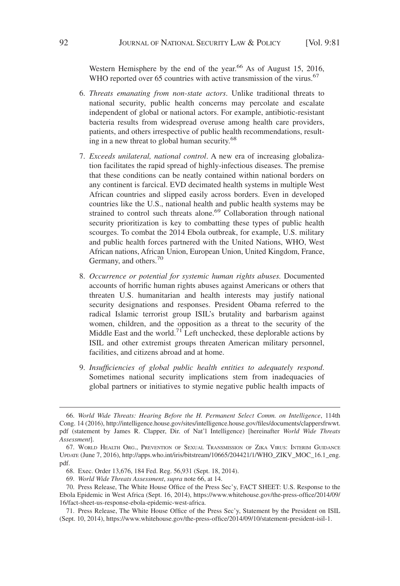Western Hemisphere by the end of the year.<sup>66</sup> As of August 15, 2016, WHO reported over 65 countries with active transmission of the virus.<sup>67</sup>

- 6. *Threats emanating from non-state actors*. Unlike traditional threats to national security, public health concerns may percolate and escalate independent of global or national actors. For example, antibiotic-resistant bacteria results from widespread overuse among health care providers, patients, and others irrespective of public health recommendations, resulting in a new threat to global human security.<sup>68</sup>
- 7. *Exceeds unilateral, national control*. A new era of increasing globalization facilitates the rapid spread of highly-infectious diseases. The premise that these conditions can be neatly contained within national borders on any continent is farcical. EVD decimated health systems in multiple West African countries and slipped easily across borders. Even in developed countries like the U.S., national health and public health systems may be strained to control such threats alone.<sup>69</sup> Collaboration through national security prioritization is key to combatting these types of public health scourges. To combat the 2014 Ebola outbreak, for example, U.S. military and public health forces partnered with the United Nations, WHO, West African nations, African Union, European Union, United Kingdom, France, Germany, and others.<sup>70</sup>
- 8. *Occurrence or potential for systemic human rights abuses.* Documented accounts of horrific human rights abuses against Americans or others that threaten U.S. humanitarian and health interests may justify national security designations and responses. President Obama referred to the radical Islamic terrorist group ISIL's brutality and barbarism against women, children, and the opposition as a threat to the security of the Middle East and the world.<sup>71</sup> Left unchecked, these deplorable actions by ISIL and other extremist groups threaten American military personnel, facilities, and citizens abroad and at home.
- 9. *Insufficiencies of global public health entities to adequately respond*. Sometimes national security implications stem from inadequacies of global partners or initiatives to stymie negative public health impacts of

<sup>66.</sup> *World Wide Threats: Hearing Before the H. Permanent Select Comm. on Intelligence*, 114th Cong. 14 (2016), http://intelligence.house.gov/sites/intelligence.house.gov/files/documents/clappersfrwwt. pdf (statement by James R. Clapper, Dir. of Nat'l Intelligence) [hereinafter *World Wide Threats Assessment*].

<sup>67.</sup> WORLD HEALTH ORG., PREVENTION OF SEXUAL TRANSMISSION OF ZIKA VIRUS: INTERIM GUIDANCE UPDATE (June 7, 2016), http://apps.who.int/iris/bitstream/10665/204421/1/WHO\_ZIKV\_MOC\_16.1\_eng. pdf.

<sup>68.</sup> Exec. Order 13,676, 184 Fed. Reg. 56,931 (Sept. 18, 2014).

<sup>69.</sup> *World Wide Threats Assessment*, *supra* note 66, at 14.

<sup>70.</sup> Press Release, The White House Office of the Press Sec'y, FACT SHEET: U.S. Response to the Ebola Epidemic in West Africa (Sept. 16, 2014), https://www.whitehouse.gov/the-press-office/2014/09/ 16/fact-sheet-us-response-ebola-epidemic-west-africa.

<sup>71.</sup> Press Release, The White House Office of the Press Sec'y, Statement by the President on ISIL (Sept. 10, 2014), https://www.whitehouse.gov/the-press-office/2014/09/10/statement-president-isil-1.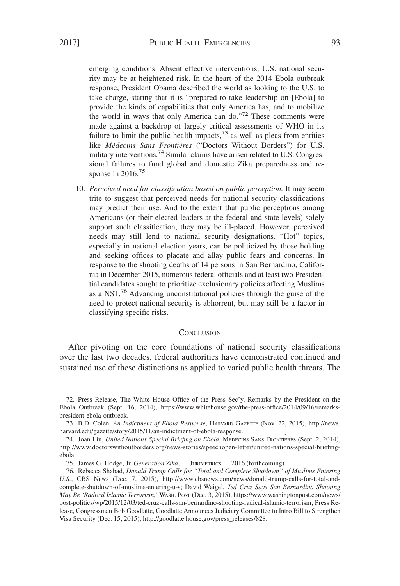emerging conditions. Absent effective interventions, U.S. national security may be at heightened risk. In the heart of the 2014 Ebola outbreak response, President Obama described the world as looking to the U.S. to take charge, stating that it is "prepared to take leadership on [Ebola] to provide the kinds of capabilities that only America has, and to mobilize the world in ways that only America can do."<sup>72</sup> These comments were made against a backdrop of largely critical assessments of WHO in its failure to limit the public health impacts, $7<sup>3</sup>$  as well as pleas from entities like *Médecins Sans Frontières* ("Doctors Without Borders") for U.S. military interventions.<sup>74</sup> Similar claims have arisen related to U.S. Congressional failures to fund global and domestic Zika preparedness and response in 2016.<sup>75</sup>

10. *Perceived need for classification based on public perception.* It may seem trite to suggest that perceived needs for national security classifications may predict their use. And to the extent that public perceptions among Americans (or their elected leaders at the federal and state levels) solely support such classification, they may be ill-placed. However, perceived needs may still lend to national security designations. "Hot" topics, especially in national election years, can be politicized by those holding and seeking offices to placate and allay public fears and concerns. In response to the shooting deaths of 14 persons in San Bernardino, California in December 2015, numerous federal officials and at least two Presidential candidates sought to prioritize exclusionary policies affecting Muslims as a NST.<sup>76</sup> Advancing unconstitutional policies through the guise of the need to protect national security is abhorrent, but may still be a factor in classifying specific risks.

#### **CONCLUSION**

After pivoting on the core foundations of national security classifications over the last two decades, federal authorities have demonstrated continued and sustained use of these distinctions as applied to varied public health threats. The

<sup>72.</sup> Press Release, The White House Office of the Press Sec'y, Remarks by the President on the Ebola Outbreak (Sept. 16, 2014), https://www.whitehouse.gov/the-press-office/2014/09/16/remarkspresident-ebola-outbreak.

<sup>73.</sup> B.D. Colen, *An Indictment of Ebola Response*, HARVARD GAZETTE (Nov. 22, 2015), http://news. harvard.edu/gazette/story/2015/11/an-indictment-of-ebola-response.

<sup>74.</sup> Joan Liu, *United Nations Special Briefing on Ebola*, MEDECINS SANS FRONTIERES (Sept. 2, 2014), http://www.doctorswithoutborders.org/news-stories/speechopen-letter/united-nations-special-briefingebola.

<sup>75.</sup> James G. Hodge, Jr. *Generation Zika*, \_\_ JURIMETRICS \_\_ 2016 (forthcoming).

<sup>76.</sup> Rebecca Shabad, *Donald Trump Calls for "Total and Complete Shutdown" of Muslims Entering U.S.*, CBS NEWS (Dec. 7, 2015), http://www.cbsnews.com/news/donald-trump-calls-for-total-andcomplete-shutdown-of-muslims-entering-u-s; David Weigel, *Ted Cruz Says San Bernardino Shooting May Be 'Radical Islamic Terrorism*,*'* WASH. POST (Dec. 3, 2015), https://www.washingtonpost.com/news/ post-politics/wp/2015/12/03/ted-cruz-calls-san-bernardino-shooting-radical-islamic-terrorism; Press Release, Congressman Bob Goodlatte, Goodlatte Announces Judiciary Committee to Intro Bill to Strengthen Visa Security (Dec. 15, 2015), http://goodlatte.house.gov/press\_releases/828.